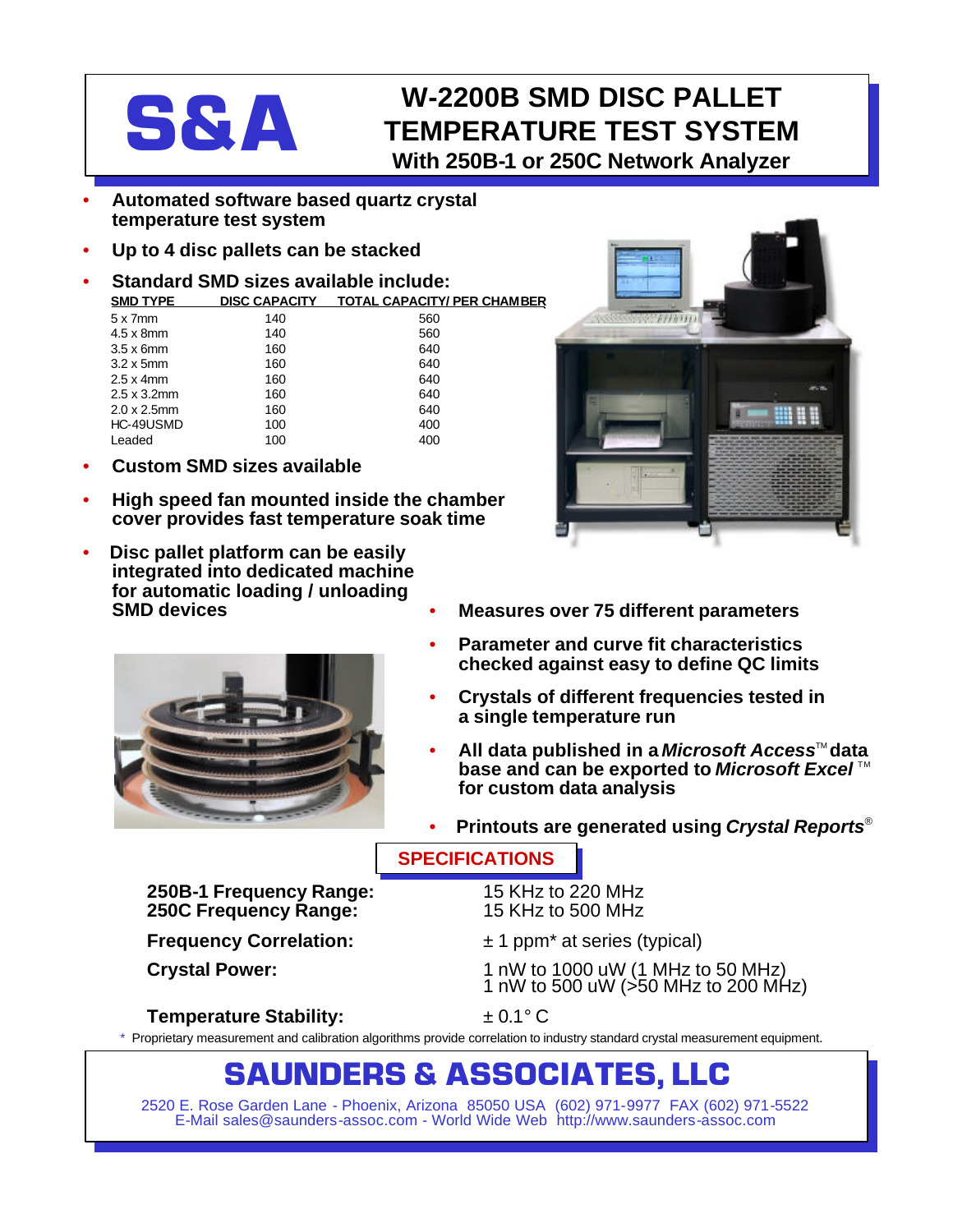

## **S&A** W-2200B SMD DISC PALLET<br>TEMPERATURE TEST SYSTEM **TEMPERATURE TEST SYSTEM With 250B-1 or 250C Network Analyzer**

- **Automated software based quartz crystal temperature test system**
- **Up to 4 disc pallets can be stacked**
- **Standard SMD sizes available include:**

**SMD TYPE DISC CAPACITY TOTAL CAPACITY/ PER CHAMBER**

| $5 \times 7$ mm     | 140 | 560 |
|---------------------|-----|-----|
| $4.5 \times 8$ mm   | 140 | 560 |
| $3.5 \times 6$ mm   | 160 | 640 |
| $3.2 \times 5$ mm   | 160 | 640 |
| $2.5 \times 4$ mm   | 160 | 640 |
| $2.5 \times 3.2$ mm | 160 | 640 |
| $2.0 \times 2.5$ mm | 160 | 640 |
| HC-49USMD           | 100 | 400 |
| Leaded              | 100 | 400 |

- **Custom SMD sizes available**
- **High speed fan mounted inside the chamber cover provides fast temperature soak time**
- **Disc pallet platform can be easily integrated into dedicated machine for automatic loading / unloading SMD devices**



**250B-1 Frequency Range:** 15 KHz to 220 MHz **250C Frequency Range:** 

• **Measures over 75 different parameters**

- **Parameter and curve fit characteristics checked against easy to define QC limits**
- **Crystals of different frequencies tested in a single temperature run**
- **All data published in a** *Microsoft Access***<sup>™</sup> data base and can be exported to** *Microsoft Excel*™ **for custom data analysis**
- **Printouts are generated using** *Crystal Reports*®

### **SPECIFICATIONS**

**Frequency Correlation:**  $\pm 1$  ppm<sup>\*</sup> at series (typical)

**Crystal Power:** 1 nW to 1000 uW (1 MHz to 50 MHz) 1 nW to 500 uW (>50 MHz to 200 MHz)

### **Temperature Stability:** ± 0.1° C

Proprietary measurement and calibration algorithms provide correlation to industry standard crystal measurement equipment.

# **SAUNDERS & ASSOCIATES, LLC**

2520 E. Rose Garden Lane - Phoenix, Arizona 85050 USA (602) 971-9977 FAX (602) 971-5522 E-Mail sales@saunders-assoc.com - World Wide Web http://www.saunders-assoc.com